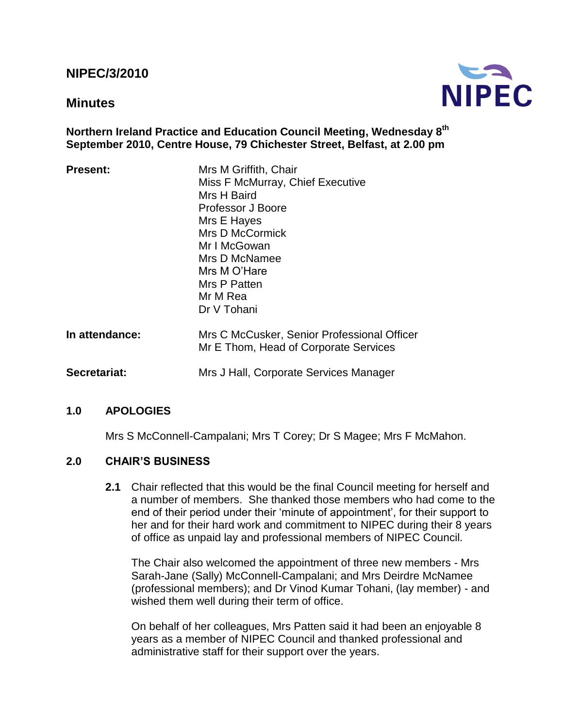# **NIPEC/3/2010**

## **Minutes**



### **Northern Ireland Practice and Education Council Meeting, Wednesday 8 th September 2010, Centre House, 79 Chichester Street, Belfast, at 2.00 pm**

| <b>Present:</b> | Mrs M Griffith, Chair<br>Miss F McMurray, Chief Executive<br>Mrs H Baird<br>Professor J Boore<br>Mrs E Hayes<br>Mrs D McCormick<br>Mr I McGowan<br>Mrs D McNamee<br>Mrs M O'Hare<br>Mrs P Patten<br>Mr M Rea<br>Dr V Tohani |
|-----------------|-----------------------------------------------------------------------------------------------------------------------------------------------------------------------------------------------------------------------------|
| In attendance:  | Mrs C McCusker, Senior Professional Officer<br>Mr E Thom, Head of Corporate Services                                                                                                                                        |
| Secretariat:    | Mrs J Hall, Corporate Services Manager                                                                                                                                                                                      |

### **1.0 APOLOGIES**

Mrs S McConnell-Campalani; Mrs T Corey; Dr S Magee; Mrs F McMahon.

### **2.0 CHAIR'S BUSINESS**

**2.1** Chair reflected that this would be the final Council meeting for herself and a number of members. She thanked those members who had come to the end of their period under their "minute of appointment", for their support to her and for their hard work and commitment to NIPEC during their 8 years of office as unpaid lay and professional members of NIPEC Council.

The Chair also welcomed the appointment of three new members - Mrs Sarah-Jane (Sally) McConnell-Campalani; and Mrs Deirdre McNamee (professional members); and Dr Vinod Kumar Tohani, (lay member) - and wished them well during their term of office.

On behalf of her colleagues, Mrs Patten said it had been an enjoyable 8 years as a member of NIPEC Council and thanked professional and administrative staff for their support over the years.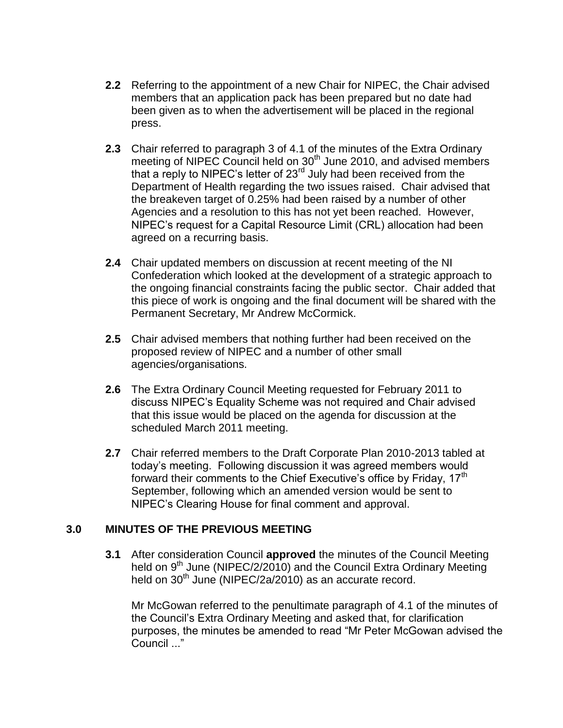- **2.2** Referring to the appointment of a new Chair for NIPEC, the Chair advised members that an application pack has been prepared but no date had been given as to when the advertisement will be placed in the regional press.
- **2.3** Chair referred to paragraph 3 of 4.1 of the minutes of the Extra Ordinary meeting of NIPEC Council held on 30<sup>th</sup> June 2010, and advised members that a reply to NIPEC's letter of 23<sup>rd</sup> July had been received from the Department of Health regarding the two issues raised. Chair advised that the breakeven target of 0.25% had been raised by a number of other Agencies and a resolution to this has not yet been reached. However, NIPEC"s request for a Capital Resource Limit (CRL) allocation had been agreed on a recurring basis.
- **2.4** Chair updated members on discussion at recent meeting of the NI Confederation which looked at the development of a strategic approach to the ongoing financial constraints facing the public sector. Chair added that this piece of work is ongoing and the final document will be shared with the Permanent Secretary, Mr Andrew McCormick.
- **2.5** Chair advised members that nothing further had been received on the proposed review of NIPEC and a number of other small agencies/organisations.
- **2.6** The Extra Ordinary Council Meeting requested for February 2011 to discuss NIPEC"s Equality Scheme was not required and Chair advised that this issue would be placed on the agenda for discussion at the scheduled March 2011 meeting.
- **2.7** Chair referred members to the Draft Corporate Plan 2010-2013 tabled at today"s meeting. Following discussion it was agreed members would forward their comments to the Chief Executive's office by Friday, 17<sup>th</sup> September, following which an amended version would be sent to NIPEC"s Clearing House for final comment and approval.

# **3.0 MINUTES OF THE PREVIOUS MEETING**

**3.1** After consideration Council **approved** the minutes of the Council Meeting held on 9<sup>th</sup> June (NIPEC/2/2010) and the Council Extra Ordinary Meeting held on  $30<sup>th</sup>$  June (NIPEC/2a/2010) as an accurate record.

Mr McGowan referred to the penultimate paragraph of 4.1 of the minutes of the Council"s Extra Ordinary Meeting and asked that, for clarification purposes, the minutes be amended to read "Mr Peter McGowan advised the Council ..."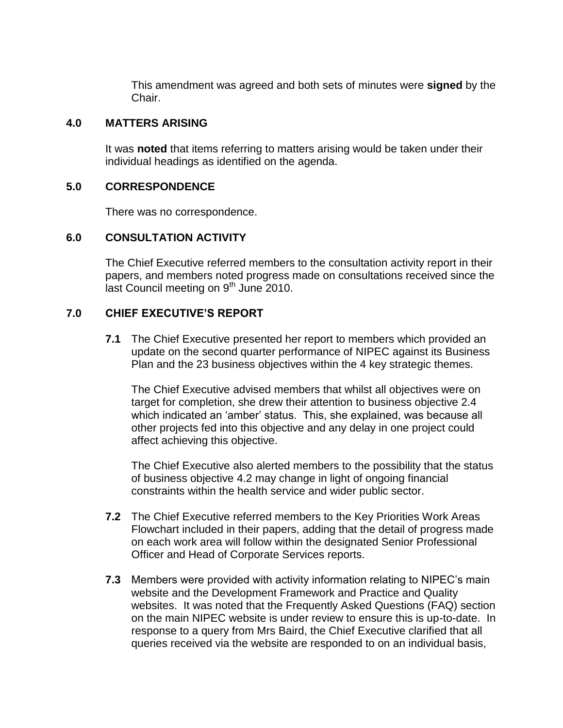This amendment was agreed and both sets of minutes were **signed** by the Chair.

#### **4.0 MATTERS ARISING**

It was **noted** that items referring to matters arising would be taken under their individual headings as identified on the agenda.

#### **5.0 CORRESPONDENCE**

There was no correspondence.

### **6.0 CONSULTATION ACTIVITY**

The Chief Executive referred members to the consultation activity report in their papers, and members noted progress made on consultations received since the last Council meeting on 9<sup>th</sup> June 2010.

### **7.0 CHIEF EXECUTIVE'S REPORT**

**7.1** The Chief Executive presented her report to members which provided an update on the second quarter performance of NIPEC against its Business Plan and the 23 business objectives within the 4 key strategic themes.

The Chief Executive advised members that whilst all objectives were on target for completion, she drew their attention to business objective 2.4 which indicated an "amber" status. This, she explained, was because all other projects fed into this objective and any delay in one project could affect achieving this objective.

The Chief Executive also alerted members to the possibility that the status of business objective 4.2 may change in light of ongoing financial constraints within the health service and wider public sector.

- **7.2** The Chief Executive referred members to the Key Priorities Work Areas Flowchart included in their papers, adding that the detail of progress made on each work area will follow within the designated Senior Professional Officer and Head of Corporate Services reports.
- **7.3** Members were provided with activity information relating to NIPEC"s main website and the Development Framework and Practice and Quality websites. It was noted that the Frequently Asked Questions (FAQ) section on the main NIPEC website is under review to ensure this is up-to-date. In response to a query from Mrs Baird, the Chief Executive clarified that all queries received via the website are responded to on an individual basis,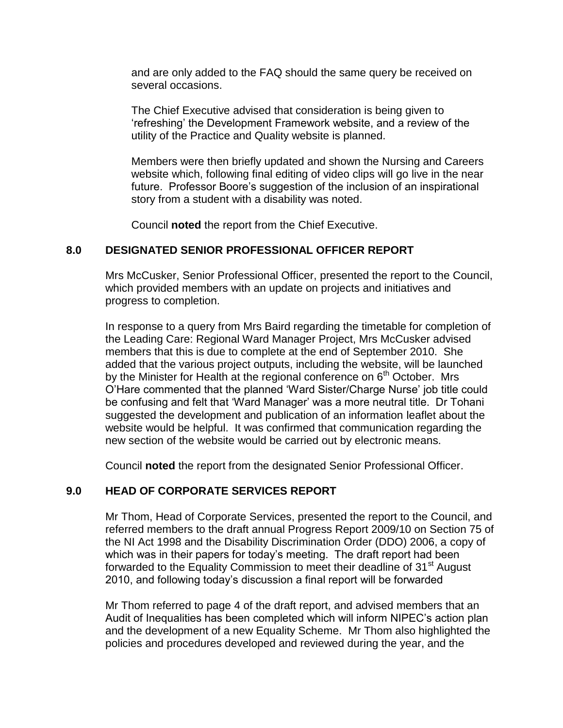and are only added to the FAQ should the same query be received on several occasions.

The Chief Executive advised that consideration is being given to "refreshing" the Development Framework website, and a review of the utility of the Practice and Quality website is planned.

Members were then briefly updated and shown the Nursing and Careers website which, following final editing of video clips will go live in the near future. Professor Boore's suggestion of the inclusion of an inspirational story from a student with a disability was noted.

Council **noted** the report from the Chief Executive.

### **8.0 DESIGNATED SENIOR PROFESSIONAL OFFICER REPORT**

Mrs McCusker, Senior Professional Officer, presented the report to the Council, which provided members with an update on projects and initiatives and progress to completion.

In response to a query from Mrs Baird regarding the timetable for completion of the Leading Care: Regional Ward Manager Project, Mrs McCusker advised members that this is due to complete at the end of September 2010. She added that the various project outputs, including the website, will be launched by the Minister for Health at the regional conference on  $6<sup>th</sup>$  October. Mrs O"Hare commented that the planned "Ward Sister/Charge Nurse" job title could be confusing and felt that "Ward Manager" was a more neutral title. Dr Tohani suggested the development and publication of an information leaflet about the website would be helpful. It was confirmed that communication regarding the new section of the website would be carried out by electronic means.

Council **noted** the report from the designated Senior Professional Officer.

### **9.0 HEAD OF CORPORATE SERVICES REPORT**

Mr Thom, Head of Corporate Services, presented the report to the Council, and referred members to the draft annual Progress Report 2009/10 on Section 75 of the NI Act 1998 and the Disability Discrimination Order (DDO) 2006, a copy of which was in their papers for today's meeting. The draft report had been forwarded to the Equality Commission to meet their deadline of 31<sup>st</sup> August 2010, and following today"s discussion a final report will be forwarded

Mr Thom referred to page 4 of the draft report, and advised members that an Audit of Inequalities has been completed which will inform NIPEC"s action plan and the development of a new Equality Scheme. Mr Thom also highlighted the policies and procedures developed and reviewed during the year, and the